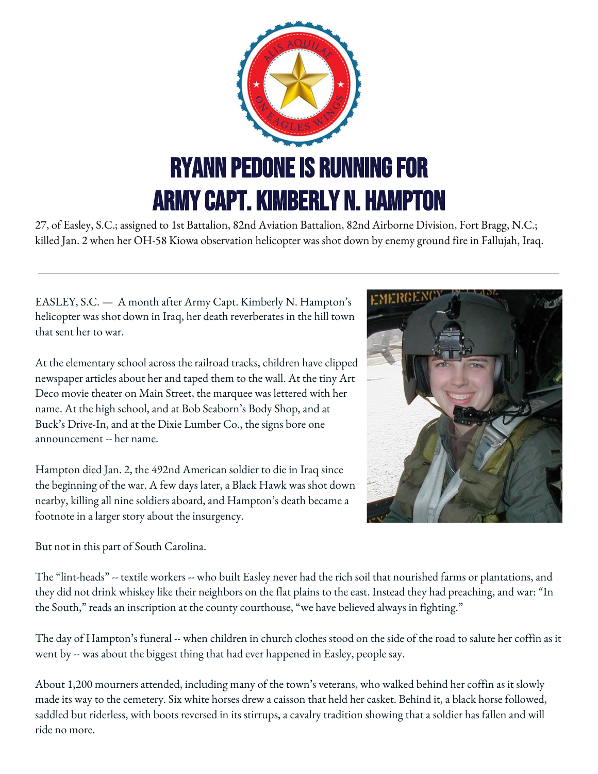

27, of Easley, S.C.; assigned to 1st Battalion, 82nd Aviation Battalion, 82nd Airborne Division, Fort Bragg, N.C.; killed Jan. 2 when her OH-58 Kiowa observation helicopter was shot down by enemy ground fire in Fallujah, Iraq.

EASLEY, S.C. — A month after Army Capt. Kimberly N. Hampton's helicopter was shot down in Iraq, her death reverberates in the hill town that sent her to war.

At the elementary school across the railroad tracks, children have clipped newspaper articles about her and taped them to the wall. At the tiny Art Deco movie theater on Main Street, the marquee was lettered with her name. At the high school, and at Bob Seaborn's Body Shop, and at Buck's Drive-In, and at the Dixie Lumber Co., the signs bore one announcement -- her name.

Hampton died Jan. 2, the 492nd American soldier to die in Iraq since the beginning of the war. A few days later, a Black Hawk was shot down nearby, killing all nine soldiers aboard, and Hampton's death became a footnote in a larger story about the insurgency.

But not in this part of South Carolina.

The "lint-heads" -- textile workers -- who built Easley never had the rich soil that nourished farms or plantations, and they did not drink whiskey like their neighbors on the flat plains to the east. Instead they had preaching, and war: "In the South," reads an inscription at the county courthouse, "we have believed always in fighting."

The day of Hampton's funeral -- when children in church clothes stood on the side of the road to salute her coffin as it went by -- was about the biggest thing that had ever happened in Easley, people say.

About 1,200 mourners attended, including many of the town's veterans, who walked behind her coffin as it slowly made its way to the cemetery. Six white horses drew a caisson that held her casket. Behind it, a black horse followed, saddled but riderless, with boots reversed in its stirrups, a cavalry tradition showing that a soldier has fallen and will ride no more.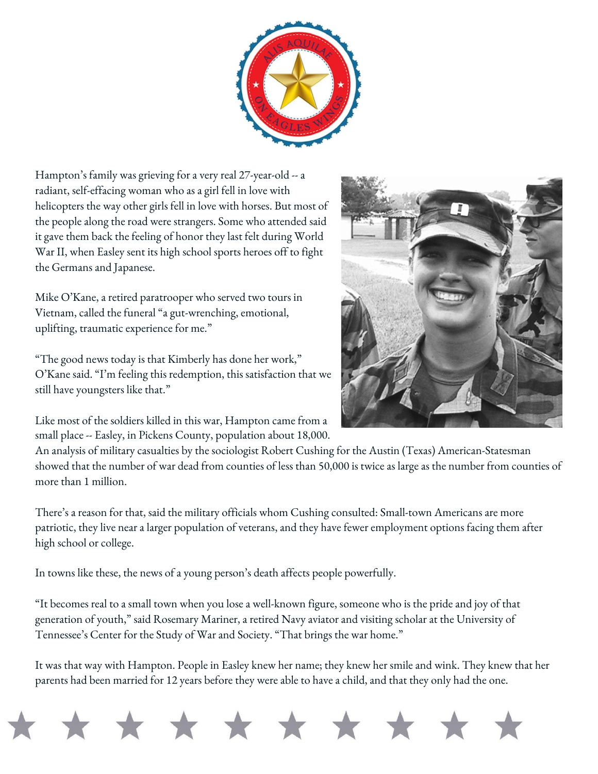Hampton's family was grieving for a very real 27-year-old -- a radiant, self-effacing woman who as a girl fell in love with helicopters the way other girls fell in love with horses. But most of the people along the road were strangers. Some who attended said it gave them back the feeling of honor they last felt during World War II, when Easley sent its high school sports heroes off to fight the Germans and Japanese.

Mike O'Kane, a retired paratrooper who served two tours in Vietnam, called the funeral "a gut-wrenching, emotional, uplifting, traumatic experience for me."

"The good news today is that Kimberly has done her work," O'Kane said. "I'm feeling this redemption, this satisfaction that we still have youngsters like that."

Like most of the soldiers killed in this war, Hampton came from a small place -- Easley, in Pickens County, population about 18,000.

An analysis of military casualties by the sociologist Robert Cushing for the Austin (Texas) American-Statesman showed that the number of war dead from counties of less than 50,000 is twice as large as the number from counties of more than 1 million.

There's a reason for that, said the military officials whom Cushing consulted: Small-town Americans are more patriotic, they live near a larger population of veterans, and they have fewer employment options facing them after high school or college.

In towns like these, the news of a young person's death affects people powerfully.

"It becomes real to a small town when you lose a well-known figure, someone who is the pride and joy of that generation of youth," said Rosemary Mariner, a retired Navy aviator and visiting scholar at the University of Tennessee's Center for the Study of War and Society. "That brings the war home."

It was that way with Hampton. People in Easley knew her name; they knew her smile and wink. They knew that her parents had been married for 12 years before they were able to have a child, and that they only had the one.

![](_page_1_Picture_9.jpeg)

![](_page_1_Picture_10.jpeg)

![](_page_1_Picture_11.jpeg)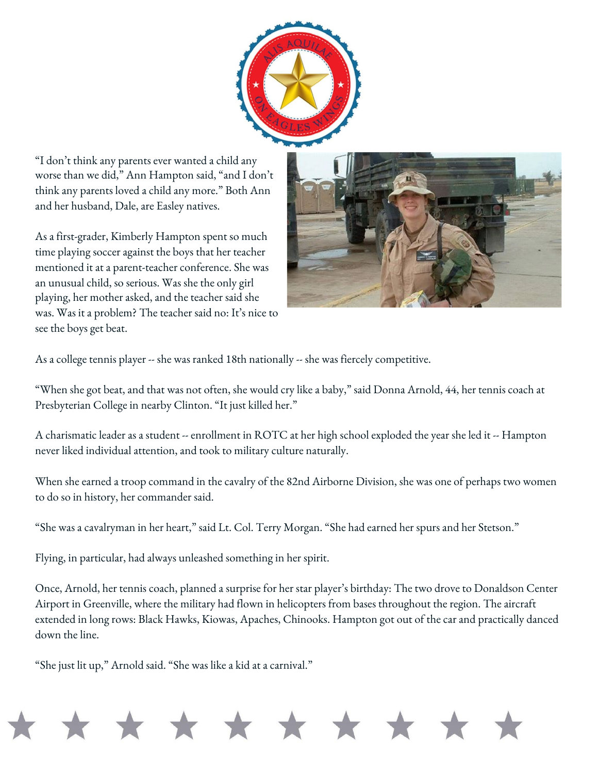![](_page_2_Picture_0.jpeg)

"I don't think any parents ever wanted a child any worse than we did," Ann Hampton said, "and I don't think any parents loved a child any more." Both Ann and her husband, Dale, are Easley natives.

As a first-grader, Kimberly Hampton spent so much time playing soccer against the boys that her teacher mentioned it at a parent-teacher conference. She was an unusual child, so serious. Was she the only girl playing, her mother asked, and the teacher said she was. Was it a problem? The teacher said no: It's nice to see the boys get beat.

![](_page_2_Picture_3.jpeg)

As a college tennis player -- she was ranked 18th nationally -- she was fiercely competitive.

"When she got beat, and that was not often, she would cry like a baby," said Donna Arnold, 44, her tennis coach at Presbyterian College in nearby Clinton. "It just killed her."

A charismatic leader as a student -- enrollment in ROTC at her high school exploded the year she led it -- Hampton never liked individual attention, and took to military culture naturally.

When she earned a troop command in the cavalry of the 82nd Airborne Division, she was one of perhaps two women to do so in history, her commander said.

"She was a cavalryman in her heart," said Lt. Col. Terry Morgan. "She had earned her spurs and her Stetson."

\* \* \* \* \* \* \* \* \*

Flying, in particular, had always unleashed something in her spirit.

Once, Arnold, her tennis coach, planned a surprise for her star player's birthday: The two drove to Donaldson Center Airport in Greenville, where the military had flown in helicopters from bases throughout the region. The aircraft extended in long rows: Black Hawks, Kiowas, Apaches, Chinooks. Hampton got out of the car and practically danced down the line.

"She just lit up," Arnold said. "She was like a kid at a carnival."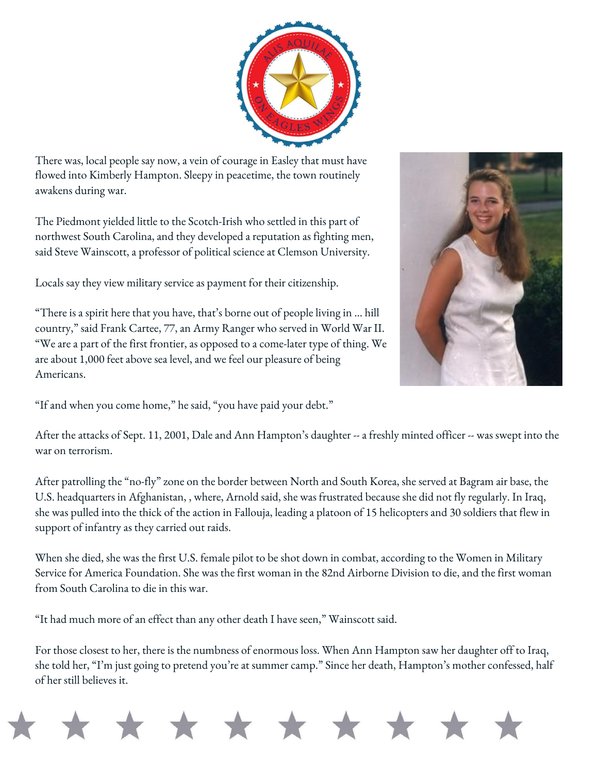There was, local people say now, a vein of courage in Easley that must have flowed into Kimberly Hampton. Sleepy in peacetime, the town routinely awakens during war.

The Piedmont yielded little to the Scotch-Irish who settled in this part of northwest South Carolina, and they developed a reputation as fighting men, said Steve Wainscott, a professor of political science at Clemson University.

Locals say they view military service as payment for their citizenship.

"There is a spirit here that you have, that's borne out of people living in ... hill country," said Frank Cartee, 77, an Army Ranger who served in World War II. "We are a part of the first frontier, as opposed to a come-later type of thing. We are about 1,000 feet above sea level, and we feel our pleasure of being Americans.

"If and when you come home," he said, "you have paid your debt."

After the attacks of Sept. 11, 2001, Dale and Ann Hampton's daughter -- a freshly minted officer -- was swept into the war on terrorism.

After patrolling the "no-fly" zone on the border between North and South Korea, she served at Bagram air base, the U.S. headquarters in Afghanistan, , where, Arnold said, she was frustrated because she did not fly regularly. In Iraq, she was pulled into the thick of the action in Fallouja, leading a platoon of 15 helicopters and 30 soldiers that flew in support of infantry as they carried out raids.

When she died, she was the first U.S. female pilot to be shot down in combat, according to the Women in Military Service for America Foundation. She was the first woman in the 82nd Airborne Division to die, and the first woman from South Carolina to die in this war.

"It had much more of an effect than any other death I have seen," Wainscott said.

For those closest to her, there is the numbness of enormous loss. When Ann Hampton saw her daughter off to Iraq, she told her, "I'm just going to pretend you're at summer camp." Since her death, Hampton's mother confessed, half of her still believes it.

![](_page_3_Picture_10.jpeg)

![](_page_3_Picture_11.jpeg)

![](_page_3_Picture_12.jpeg)